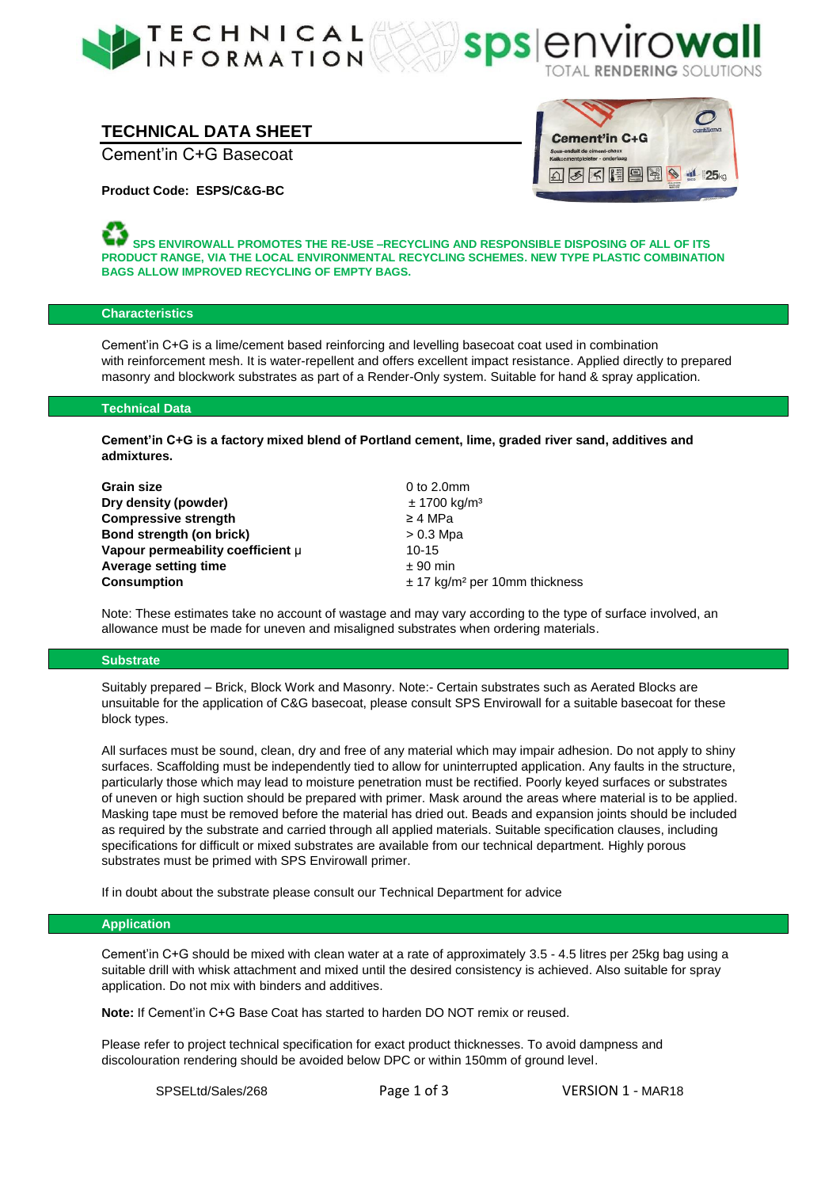



# **TECHNICAL DATA SHEET**

Cement'in C+G Basecoat



**Product Code: ESPS/C&G-BC**

**SPS ENVIROWALL PROMOTES THE RE-USE –RECYCLING AND RESPONSIBLE DISPOSING OF ALL OF ITS PRODUCT RANGE, VIA THE LOCAL ENVIRONMENTAL RECYCLING SCHEMES. NEW TYPE PLASTIC COMBINATION BAGS ALLOW IMPROVED RECYCLING OF EMPTY BAGS.**

### **Characteristics**

Cement'in C+G is a lime/cement based reinforcing and levelling basecoat coat used in combination with reinforcement mesh. It is water-repellent and offers excellent impact resistance. Applied directly to prepared masonry and blockwork substrates as part of a Render-Only system. Suitable for hand & spray application.

### **Technical Data**

**Cement'in C+G is a factory mixed blend of Portland cement, lime, graded river sand, additives and admixtures.**

| <b>Grain size</b>                 | 0 to $2.0$ mm                                 |
|-----------------------------------|-----------------------------------------------|
| Dry density (powder)              | ± 1700 kg/m <sup>3</sup>                      |
| <b>Compressive strength</b>       | $\geq$ 4 MPa                                  |
| Bond strength (on brick)          | $> 0.3$ Mpa                                   |
| Vapour permeability coefficient µ | $10 - 15$                                     |
| Average setting time              | $± 90$ min                                    |
| <b>Consumption</b>                | $\pm$ 17 kg/m <sup>2</sup> per 10mm thickness |

Note: These estimates take no account of wastage and may vary according to the type of surface involved, an allowance must be made for uneven and misaligned substrates when ordering materials.

#### **Substrate**

Suitably prepared – Brick, Block Work and Masonry. Note:- Certain substrates such as Aerated Blocks are unsuitable for the application of C&G basecoat, please consult SPS Envirowall for a suitable basecoat for these block types.

All surfaces must be sound, clean, dry and free of any material which may impair adhesion. Do not apply to shiny surfaces. Scaffolding must be independently tied to allow for uninterrupted application. Any faults in the structure, particularly those which may lead to moisture penetration must be rectified. Poorly keyed surfaces or substrates of uneven or high suction should be prepared with primer. Mask around the areas where material is to be applied. Masking tape must be removed before the material has dried out. Beads and expansion joints should be included as required by the substrate and carried through all applied materials. Suitable specification clauses, including specifications for difficult or mixed substrates are available from our technical department. Highly porous substrates must be primed with SPS Envirowall primer.

If in doubt about the substrate please consult our Technical Department for advice

#### **Application**

Cement'in C+G should be mixed with clean water at a rate of approximately 3.5 - 4.5 litres per 25kg bag using a suitable drill with whisk attachment and mixed until the desired consistency is achieved. Also suitable for spray application. Do not mix with binders and additives.

**Note:** If Cement'in C+G Base Coat has started to harden DO NOT remix or reused.

Please refer to project technical specification for exact product thicknesses. To avoid dampness and discolouration rendering should be avoided below DPC or within 150mm of ground level.

SPSELtd/Sales/268 Page 1 of 3 VERSION 1 - MAR18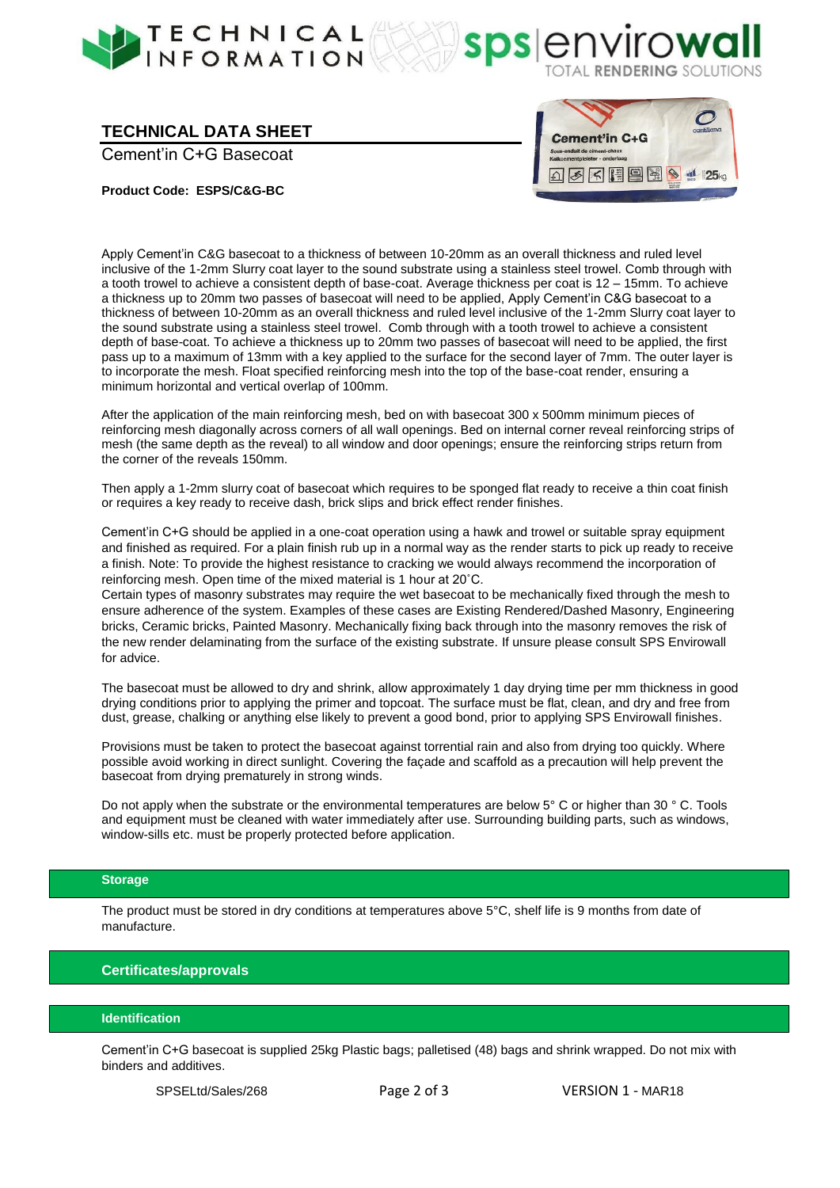



# **TECHNICAL DATA SHEET**

Cement'in C+G Basecoat



**Product Code: ESPS/C&G-BC**

Apply Cement'in C&G basecoat to a thickness of between 10-20mm as an overall thickness and ruled level inclusive of the 1-2mm Slurry coat layer to the sound substrate using a stainless steel trowel. Comb through with a tooth trowel to achieve a consistent depth of base-coat. Average thickness per coat is 12 – 15mm. To achieve a thickness up to 20mm two passes of basecoat will need to be applied, Apply Cement'in C&G basecoat to a thickness of between 10-20mm as an overall thickness and ruled level inclusive of the 1-2mm Slurry coat layer to the sound substrate using a stainless steel trowel. Comb through with a tooth trowel to achieve a consistent depth of base-coat. To achieve a thickness up to 20mm two passes of basecoat will need to be applied, the first pass up to a maximum of 13mm with a key applied to the surface for the second layer of 7mm. The outer layer is to incorporate the mesh. Float specified reinforcing mesh into the top of the base-coat render, ensuring a minimum horizontal and vertical overlap of 100mm.

After the application of the main reinforcing mesh, bed on with basecoat 300 x 500mm minimum pieces of reinforcing mesh diagonally across corners of all wall openings. Bed on internal corner reveal reinforcing strips of mesh (the same depth as the reveal) to all window and door openings; ensure the reinforcing strips return from the corner of the reveals 150mm.

Then apply a 1-2mm slurry coat of basecoat which requires to be sponged flat ready to receive a thin coat finish or requires a key ready to receive dash, brick slips and brick effect render finishes.

Cement'in C+G should be applied in a one-coat operation using a hawk and trowel or suitable spray equipment and finished as required. For a plain finish rub up in a normal way as the render starts to pick up ready to receive a finish. Note: To provide the highest resistance to cracking we would always recommend the incorporation of reinforcing mesh. Open time of the mixed material is 1 hour at 20˚C.

Certain types of masonry substrates may require the wet basecoat to be mechanically fixed through the mesh to ensure adherence of the system. Examples of these cases are Existing Rendered/Dashed Masonry, Engineering bricks, Ceramic bricks, Painted Masonry. Mechanically fixing back through into the masonry removes the risk of the new render delaminating from the surface of the existing substrate. If unsure please consult SPS Envirowall for advice.

The basecoat must be allowed to dry and shrink, allow approximately 1 day drying time per mm thickness in good drying conditions prior to applying the primer and topcoat. The surface must be flat, clean, and dry and free from dust, grease, chalking or anything else likely to prevent a good bond, prior to applying SPS Envirowall finishes.

Provisions must be taken to protect the basecoat against torrential rain and also from drying too quickly. Where possible avoid working in direct sunlight. Covering the façade and scaffold as a precaution will help prevent the basecoat from drying prematurely in strong winds.

Do not apply when the substrate or the environmental temperatures are below 5° C or higher than 30 ° C. Tools and equipment must be cleaned with water immediately after use. Surrounding building parts, such as windows, window-sills etc. must be properly protected before application.

### **Storage**

The product must be stored in dry conditions at temperatures above 5°C, shelf life is 9 months from date of manufacture.

## **Certificates/approvals**

### **Identification**

Cement'in C+G basecoat is supplied 25kg Plastic bags; palletised (48) bags and shrink wrapped. Do not mix with binders and additives.